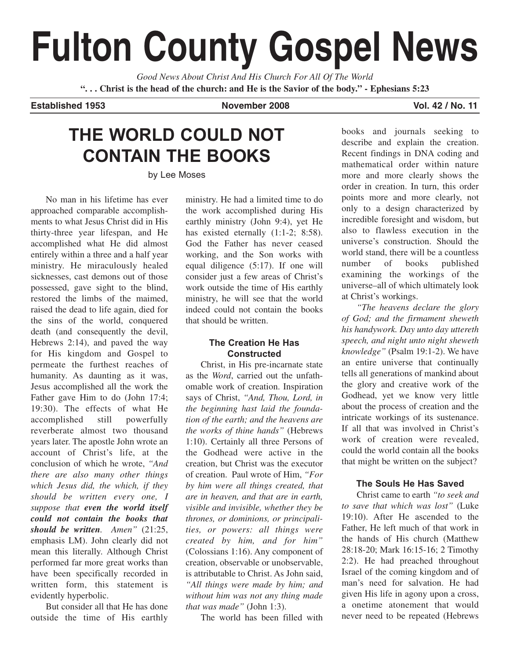# **Fulton County Gospel News**

*Good News About Christ And His Church For All Of The World* **". . . Christ is the head of the church: and He is the Savior of the body." - Ephesians 5:23**

#### **Established 1953 November 2008 Vol. 42 / No. 11**

## **THE WORLD COULD NOT CONTAIN THE BOOKS**

by Lee Moses

No man in his lifetime has ever approached comparable accomplishments to what Jesus Christ did in His thirty-three year lifespan, and He accomplished what He did almost entirely within a three and a half year ministry. He miraculously healed sicknesses, cast demons out of those possessed, gave sight to the blind, restored the limbs of the maimed, raised the dead to life again, died for the sins of the world, conquered death (and consequently the devil, Hebrews 2:14), and paved the way for His kingdom and Gospel to permeate the furthest reaches of humanity. As daunting as it was, Jesus accomplished all the work the Father gave Him to do (John 17:4; 19:30). The effects of what He accomplished still powerfully reverberate almost two thousand years later. The apostle John wrote an account of Christ's life, at the conclusion of which he wrote, *"And there are also many other things which Jesus did, the which, if they should be written every one, I suppose that even the world itself could not contain the books that should be written. Amen"* (21:25, emphasis LM). John clearly did not mean this literally. Although Christ performed far more great works than have been specifically recorded in written form, this statement is evidently hyperbolic.

But consider all that He has done outside the time of His earthly ministry. He had a limited time to do the work accomplished during His earthly ministry (John 9:4), yet He has existed eternally  $(1:1-2; 8:58)$ . God the Father has never ceased working, and the Son works with equal diligence (5:17). If one will consider just a few areas of Christ's work outside the time of His earthly ministry, he will see that the world indeed could not contain the books that should be written.

#### **The Creation He Has Constructed**

Christ, in His pre-incarnate state as the *Word*, carried out the unfathomable work of creation. Inspiration says of Christ, *"And, Thou, Lord, in the beginning hast laid the foundation of the earth; and the heavens are the works of thine hands"* (Hebrews 1:10). Certainly all three Persons of the Godhead were active in the creation, but Christ was the executor of creation. Paul wrote of Him, *"For by him were all things created, that are in heaven, and that are in earth, visible and invisible, whether they be thrones, or dominions, or principalities, or powers: all things were created by him, and for him"* (Colossians 1:16). Any component of creation, observable or unobservable, is attributable to Christ. As John said, *"All things were made by him; and without him was not any thing made that was made"* (John 1:3).

The world has been filled with

books and journals seeking to describe and explain the creation. Recent findings in DNA coding and mathematical order within nature more and more clearly shows the order in creation. In turn, this order points more and more clearly, not only to a design characterized by incredible foresight and wisdom, but also to flawless execution in the universe's construction. Should the world stand, there will be a countless number of books published examining the workings of the universe–all of which ultimately look at Christ's workings.

*"The heavens declare the glory of God; and the firmament sheweth his handywork. Day unto day uttereth speech, and night unto night sheweth knowledge"* (Psalm 19:1-2). We have an entire universe that continually tells all generations of mankind about the glory and creative work of the Godhead, yet we know very little about the process of creation and the intricate workings of its sustenance. If all that was involved in Christ's work of creation were revealed, could the world contain all the books that might be written on the subject?

### **The Souls He Has Saved**

Christ came to earth *"to seek and to save that which was lost"* (Luke 19:10). After He ascended to the Father, He left much of that work in the hands of His church (Matthew 28:18-20; Mark 16:15-16; 2 Timothy 2:2). He had preached throughout Israel of the coming kingdom and of man's need for salvation. He had given His life in agony upon a cross, a onetime atonement that would never need to be repeated (Hebrews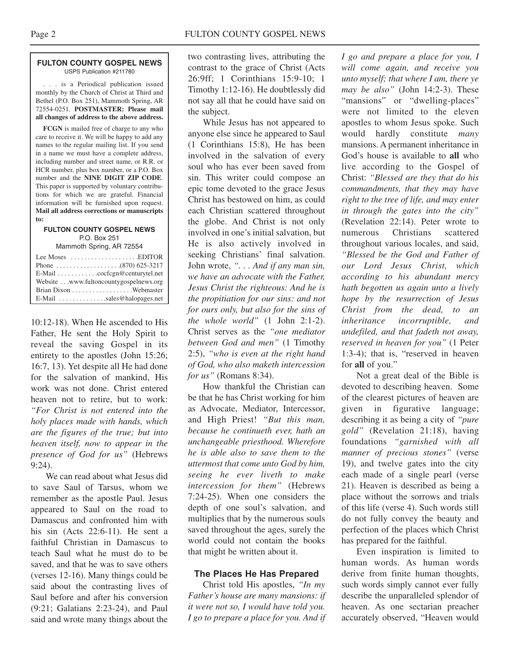#### **FULTON COUNTY GOSPEL NEWS** USPS Publication #211780

. . . is a Periodical publication issued monthly by the Church of Christ at Third and Bethel (P.O. Box 251), Mammoth Spring, AR 72554-0251. **POSTMASTER: Please mail all changes of address to the above address.**

**FCGN** is mailed free of charge to any who care to receive it. We will be happy to add any names to the regular mailing list. If you send in a name we must have a complete address, including number and street name, or R.R. or HCR number, plus box number, or a P.O. Box number and the **NINE DIGIT ZIP CODE**. This paper is supported by voluntary contributions for which we are grateful. Financial information will be furnished upon request. **Mail all address corrections or manuscripts to:**

#### **FULTON COUNTY GOSPEL NEWS** P.O. Box 251 Mammoth Spring, AR 72554

| E-Mail cocfcgn@centurytel.net          |
|----------------------------------------|
| Website www.fultoncountygospelnews.org |
| Brian Dixon Webmaster                  |
|                                        |

E-Mail . . . . . . . . . . . . . .sales@halopages.net

10:12-18). When He ascended to His Father, He sent the Holy Spirit to reveal the saving Gospel in its entirety to the apostles (John 15:26; 16:7, 13). Yet despite all He had done for the salvation of mankind, His work was not done. Christ entered heaven not to retire, but to work: *"For Christ is not entered into the holy places made with hands, which are the figures of the true; but into heaven itself, now to appear in the presence of God for us"* (Hebrews 9:24).

We can read about what Jesus did to save Saul of Tarsus, whom we remember as the apostle Paul. Jesus appeared to Saul on the road to Damascus and confronted him with his sin (Acts 22:6-11). He sent a faithful Christian in Damascus to teach Saul what he must do to be saved, and that he was to save others (verses 12-16). Many things could be said about the contrasting lives of Saul before and after his conversion (9:21; Galatians 2:23-24), and Paul said and wrote many things about the

two contrasting lives, attributing the contrast to the grace of Christ (Acts 26:9ff; 1 Corinthians 15:9-10; 1 Timothy 1:12-16). He doubtlessly did not say all that he could have said on the subject.

While Jesus has not appeared to anyone else since he appeared to Saul (1 Corinthians 15:8), He has been involved in the salvation of every soul who has ever been saved from sin. This writer could compose an epic tome devoted to the grace Jesus Christ has bestowed on him, as could each Christian scattered throughout the globe. And Christ is not only involved in one's initial salvation, but He is also actively involved in seeking Christians' final salvation. John wrote, *". . . And if any man sin, we have an advocate with the Father, Jesus Christ the righteous: And he is the propitiation for our sins: and not for ours only, but also for the sins of the whole world"* (1 John 2:1-2). Christ serves as the *"one mediator between God and men"* (1 Timothy 2:5), *"who is even at the right hand of God, who also maketh intercession for us"* (Romans 8:34).

How thankful the Christian can be that he has Christ working for him as Advocate, Mediator, Intercessor, and High Priest! *"But this man, because he continueth ever, hath an unchangeable priesthood. Wherefore he is able also to save them to the uttermost that come unto God by him, seeing he ever liveth to make intercession for them"* (Hebrews 7:24-25). When one considers the depth of one soul's salvation, and multiplies that by the numerous souls saved throughout the ages, surely the world could not contain the books that might be written about it.

#### **The Places He Has Prepared**

Christ told His apostles, *"In my Father's house are many mansions: if it were not so, I would have told you. I go to prepare a place for you. And if* *I go and prepare a place for you, I will come again, and receive you unto myself; that where I am, there ye may be also"* (John 14:2-3). These "mansions" or "dwelling-places" were not limited to the eleven apostles to whom Jesus spoke. Such would hardly constitute *many* mansions. A permanent inheritance in God's house is available to **all** who live according to the Gospel of Christ: *"Blessed are they that do his commandments, that they may have right to the tree of life, and may enter in through the gates into the city"* (Revelation 22:14). Peter wrote to numerous Christians scattered throughout various locales, and said, *"Blessed be the God and Father of our Lord Jesus Christ, which according to his abundant mercy hath begotten us again unto a lively hope by the resurrection of Jesus Christ from the dead, to an inheritance incorruptible, and undefiled, and that fadeth not away, reserved in heaven for you"* (1 Peter 1:3-4); that is, "reserved in heaven for **all** of you."

Not a great deal of the Bible is devoted to describing heaven. Some of the clearest pictures of heaven are given in figurative language; describing it as being a city of *"pure gold"* (Revelation 21:18), having foundations *"garnished with all manner of precious stones"* (verse 19), and twelve gates into the city each made of a single pearl (verse 21). Heaven is described as being a place without the sorrows and trials of this life (verse 4). Such words still do not fully convey the beauty and perfection of the places which Christ has prepared for the faithful.

Even inspiration is limited to human words. As human words derive from finite human thoughts, such words simply cannot ever fully describe the unparalleled splendor of heaven. As one sectarian preacher accurately observed, "Heaven would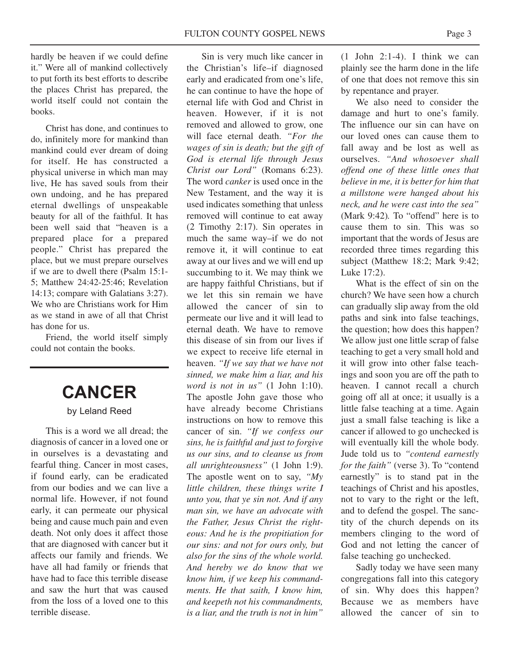hardly be heaven if we could define it." Were all of mankind collectively to put forth its best efforts to describe the places Christ has prepared, the world itself could not contain the books.

Christ has done, and continues to do, infinitely more for mankind than mankind could ever dream of doing for itself. He has constructed a physical universe in which man may live, He has saved souls from their own undoing, and he has prepared eternal dwellings of unspeakable beauty for all of the faithful. It has been well said that "heaven is a prepared place for a prepared people." Christ has prepared the place, but we must prepare ourselves if we are to dwell there (Psalm 15:1- 5; Matthew 24:42-25:46; Revelation 14:13; compare with Galatians 3:27). We who are Christians work for Him as we stand in awe of all that Christ has done for us.

Friend, the world itself simply could not contain the books.

# **CANCER**

#### by Leland Reed

This is a word we all dread; the diagnosis of cancer in a loved one or in ourselves is a devastating and fearful thing. Cancer in most cases, if found early, can be eradicated from our bodies and we can live a normal life. However, if not found early, it can permeate our physical being and cause much pain and even death. Not only does it affect those that are diagnosed with cancer but it affects our family and friends. We have all had family or friends that have had to face this terrible disease and saw the hurt that was caused from the loss of a loved one to this terrible disease.

Sin is very much like cancer in the Christian's life–if diagnosed early and eradicated from one's life, he can continue to have the hope of eternal life with God and Christ in heaven. However, if it is not removed and allowed to grow, one will face eternal death. *"For the wages of sin is death; but the gift of God is eternal life through Jesus Christ our Lord"* (Romans 6:23). The word *canker* is used once in the New Testament, and the way it is used indicates something that unless removed will continue to eat away (2 Timothy 2:17). Sin operates in much the same way–if we do not remove it, it will continue to eat away at our lives and we will end up succumbing to it. We may think we are happy faithful Christians, but if we let this sin remain we have allowed the cancer of sin to permeate our live and it will lead to eternal death. We have to remove this disease of sin from our lives if we expect to receive life eternal in heaven. *"If we say that we have not sinned, we make him a liar, and his word is not in us"* (1 John 1:10). The apostle John gave those who have already become Christians instructions on how to remove this cancer of sin. *"If we confess our sins, he is faithful and just to forgive us our sins, and to cleanse us from all unrighteousness"* (1 John 1:9). The apostle went on to say, *"My little children, these things write I unto you, that ye sin not. And if any man sin, we have an advocate with the Father, Jesus Christ the righteous: And he is the propitiation for our sins: and not for ours only, but also for the sins of the whole world. And hereby we do know that we know him, if we keep his commandments. He that saith, I know him, and keepeth not his commandments, is a liar, and the truth is not in him"*

 $(1$  John  $2:1-4$ ). I think we can plainly see the harm done in the life of one that does not remove this sin by repentance and prayer.

We also need to consider the damage and hurt to one's family. The influence our sin can have on our loved ones can cause them to fall away and be lost as well as ourselves. *"And whosoever shall offend one of these little ones that believe in me, it is better for him that a millstone were hanged about his neck, and he were cast into the sea"* (Mark 9:42)*.* To "offend" here is to cause them to sin. This was so important that the words of Jesus are recorded three times regarding this subject (Matthew 18:2; Mark 9:42; Luke 17:2).

What is the effect of sin on the church? We have seen how a church can gradually slip away from the old paths and sink into false teachings, the question; how does this happen? We allow just one little scrap of false teaching to get a very small hold and it will grow into other false teachings and soon you are off the path to heaven. I cannot recall a church going off all at once; it usually is a little false teaching at a time. Again just a small false teaching is like a cancer if allowed to go unchecked is will eventually kill the whole body. Jude told us to *"contend earnestly for the faith"* (verse 3). To "contend earnestly" is to stand pat in the teachings of Christ and his apostles, not to vary to the right or the left, and to defend the gospel. The sanctity of the church depends on its members clinging to the word of God and not letting the cancer of false teaching go unchecked.

Sadly today we have seen many congregations fall into this category of sin. Why does this happen? Because we as members have allowed the cancer of sin to